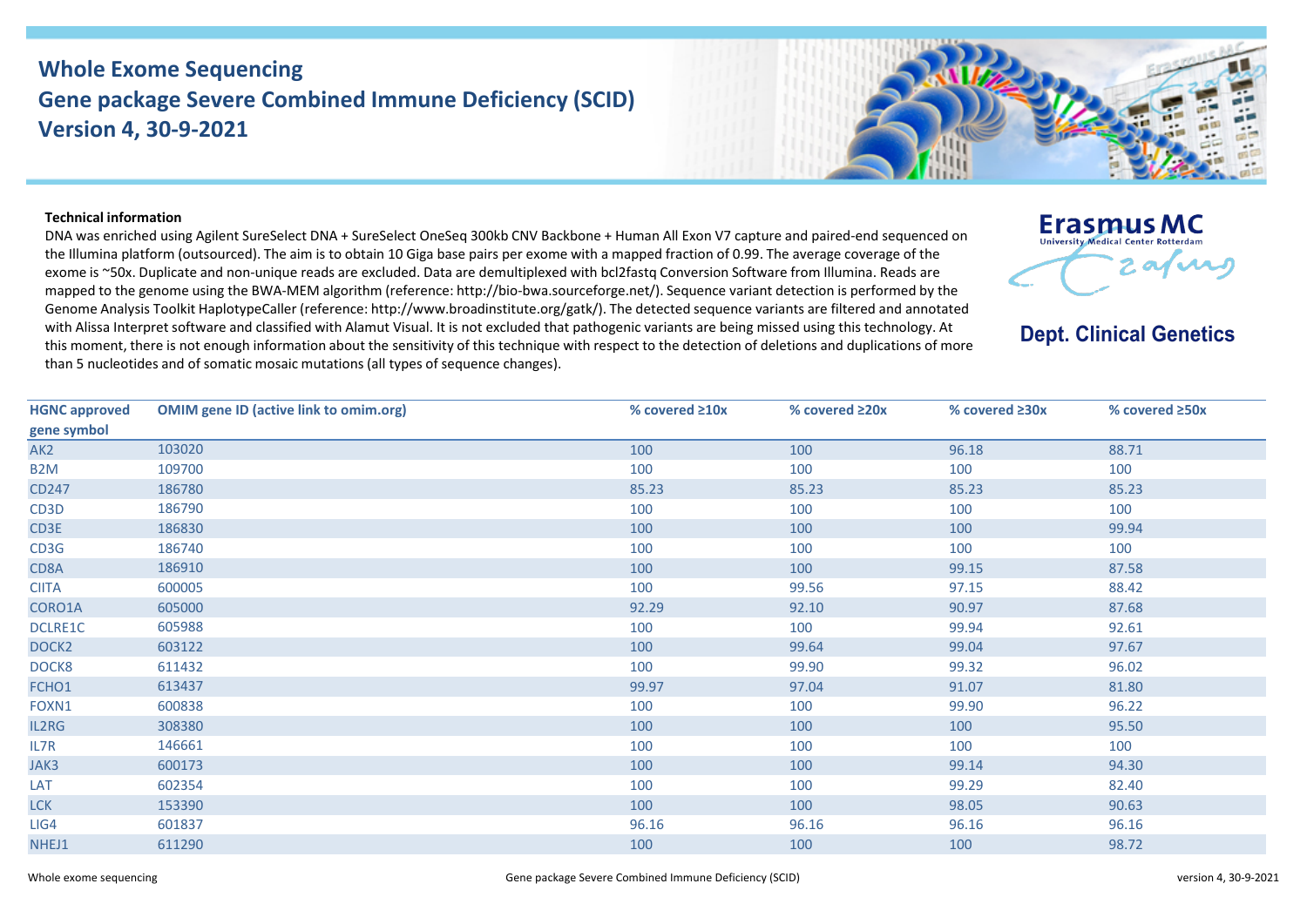## **Whole Exome Sequencing Gene package Severe Combined Immune Deficiency (SCID) Version 4, 30-9-2021**



## **Technical information**

DNA was enriched using Agilent SureSelect DNA + SureSelect OneSeq 300kb CNV Backbone + Human All Exon V7 capture and paired-end sequenced on the Illumina platform (outsourced). The aim is to obtain 10 Giga base pairs per exome with a mapped fraction of 0.99. The average coverage of the exome is ~50x. Duplicate and non-unique reads are excluded. Data are demultiplexed with bcl2fastq Conversion Software from Illumina. Reads are mapped to the genome using the BWA-MEM algorithm (reference: http://bio-bwa.sourceforge.net/). Sequence variant detection is performed by the Genome Analysis Toolkit HaplotypeCaller (reference: http://www.broadinstitute.org/gatk/). The detected sequence variants are filtered and annotated with Alissa Interpret software and classified with Alamut Visual. It is not excluded that pathogenic variants are being missed using this technology. At this moment, there is not enough information about the sensitivity of this technique with respect to the detection of deletions and duplications of more than 5 nucleotides and of somatic mosaic mutations (all types of sequence changes).



## **Dept. Clinical Genetics**

| <b>HGNC approved</b> | <b>OMIM gene ID (active link to omim.org)</b> | % covered $\geq 10x$ | % covered $\geq 20x$ | % covered ≥30x | % covered $\geq$ 50x |
|----------------------|-----------------------------------------------|----------------------|----------------------|----------------|----------------------|
| gene symbol          |                                               |                      |                      |                |                      |
| AK <sub>2</sub>      | 103020                                        | 100                  | 100                  | 96.18          | 88.71                |
| B <sub>2</sub> M     | 109700                                        | 100                  | 100                  | 100            | 100                  |
| CD247                | 186780                                        | 85.23                | 85.23                | 85.23          | 85.23                |
| CD3D                 | 186790                                        | 100                  | 100                  | 100            | 100                  |
| CD3E                 | 186830                                        | 100                  | 100                  | 100            | 99.94                |
| CD3G                 | 186740                                        | 100                  | 100                  | 100            | 100                  |
| CD8A                 | 186910                                        | 100                  | 100                  | 99.15          | 87.58                |
| <b>CIITA</b>         | 600005                                        | 100                  | 99.56                | 97.15          | 88.42                |
| CORO1A               | 605000                                        | 92.29                | 92.10                | 90.97          | 87.68                |
| DCLRE1C              | 605988                                        | 100                  | 100                  | 99.94          | 92.61                |
| DOCK <sub>2</sub>    | 603122                                        | 100                  | 99.64                | 99.04          | 97.67                |
| DOCK8                | 611432                                        | 100                  | 99.90                | 99.32          | 96.02                |
| FCHO1                | 613437                                        | 99.97                | 97.04                | 91.07          | 81.80                |
| FOXN1                | 600838                                        | 100                  | 100                  | 99.90          | 96.22                |
| IL2RG                | 308380                                        | 100                  | 100                  | 100            | 95.50                |
| IL7R                 | 146661                                        | 100                  | 100                  | 100            | 100                  |
| JAK3                 | 600173                                        | 100                  | 100                  | 99.14          | 94.30                |
| LAT                  | 602354                                        | 100                  | 100                  | 99.29          | 82.40                |
| <b>LCK</b>           | 153390                                        | 100                  | 100                  | 98.05          | 90.63                |
| LIG4                 | 601837                                        | 96.16                | 96.16                | 96.16          | 96.16                |
| NHEJ1                | 611290                                        | 100                  | 100                  | 100            | 98.72                |